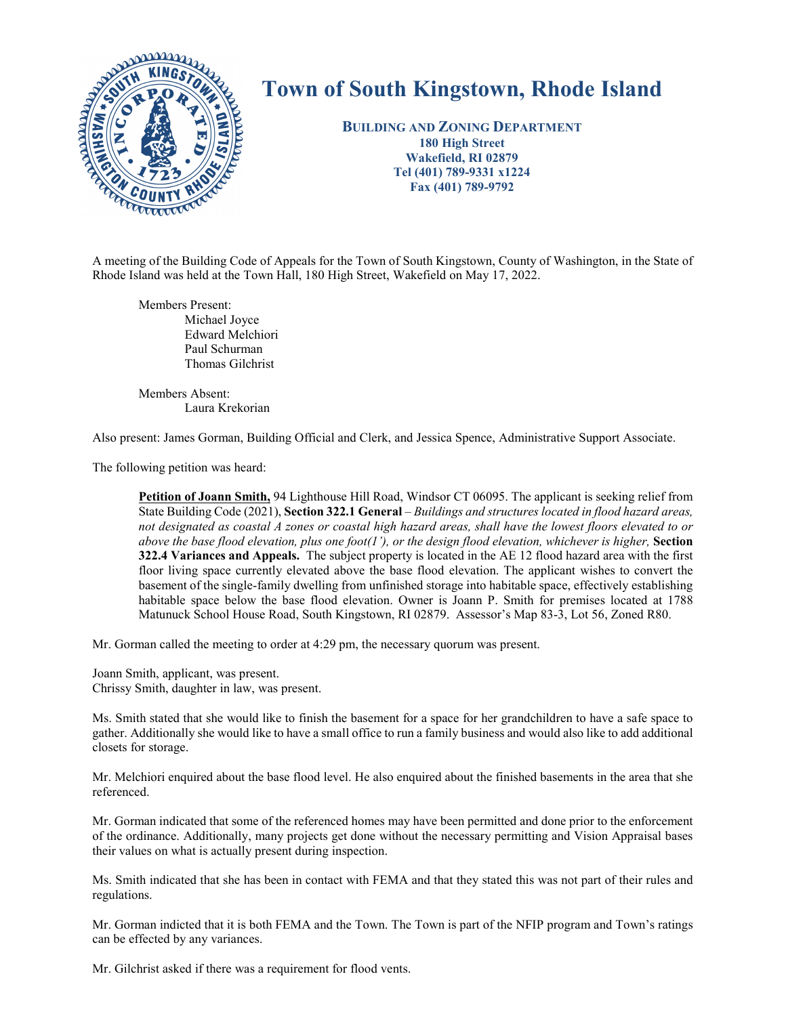

## **Town of South Kingstown, Rhode Island**

**BUILDING AND ZONING DEPARTMENT 180 High Street Wakefield, RI 02879 Tel (401) 789-9331 x1224 Fax (401) 789-9792** 

A meeting of the Building Code of Appeals for the Town of South Kingstown, County of Washington, in the State of Rhode Island was held at the Town Hall, 180 High Street, Wakefield on May 17, 2022.

Members Present: Michael Joyce Edward Melchiori Paul Schurman Thomas Gilchrist

Members Absent: Laura Krekorian

Also present: James Gorman, Building Official and Clerk, and Jessica Spence, Administrative Support Associate.

The following petition was heard:

**Petition of Joann Smith,** 94 Lighthouse Hill Road, Windsor CT 06095. The applicant is seeking relief from State Building Code (2021), **Section 322.1 General** *– Buildings and structures located in flood hazard areas, not designated as coastal A zones or coastal high hazard areas, shall have the lowest floors elevated to or above the base flood elevation, plus one foot(1'), or the design flood elevation, whichever is higher,* **Section 322.4 Variances and Appeals.** The subject property is located in the AE 12 flood hazard area with the first floor living space currently elevated above the base flood elevation. The applicant wishes to convert the basement of the single-family dwelling from unfinished storage into habitable space, effectively establishing habitable space below the base flood elevation. Owner is Joann P. Smith for premises located at 1788 Matunuck School House Road, South Kingstown, RI 02879. Assessor's Map 83-3, Lot 56, Zoned R80.

Mr. Gorman called the meeting to order at 4:29 pm, the necessary quorum was present.

Joann Smith, applicant, was present. Chrissy Smith, daughter in law, was present.

Ms. Smith stated that she would like to finish the basement for a space for her grandchildren to have a safe space to gather. Additionally she would like to have a small office to run a family business and would also like to add additional closets for storage.

Mr. Melchiori enquired about the base flood level. He also enquired about the finished basements in the area that she referenced.

Mr. Gorman indicated that some of the referenced homes may have been permitted and done prior to the enforcement of the ordinance. Additionally, many projects get done without the necessary permitting and Vision Appraisal bases their values on what is actually present during inspection.

Ms. Smith indicated that she has been in contact with FEMA and that they stated this was not part of their rules and regulations.

Mr. Gorman indicted that it is both FEMA and the Town. The Town is part of the NFIP program and Town's ratings can be effected by any variances.

Mr. Gilchrist asked if there was a requirement for flood vents.